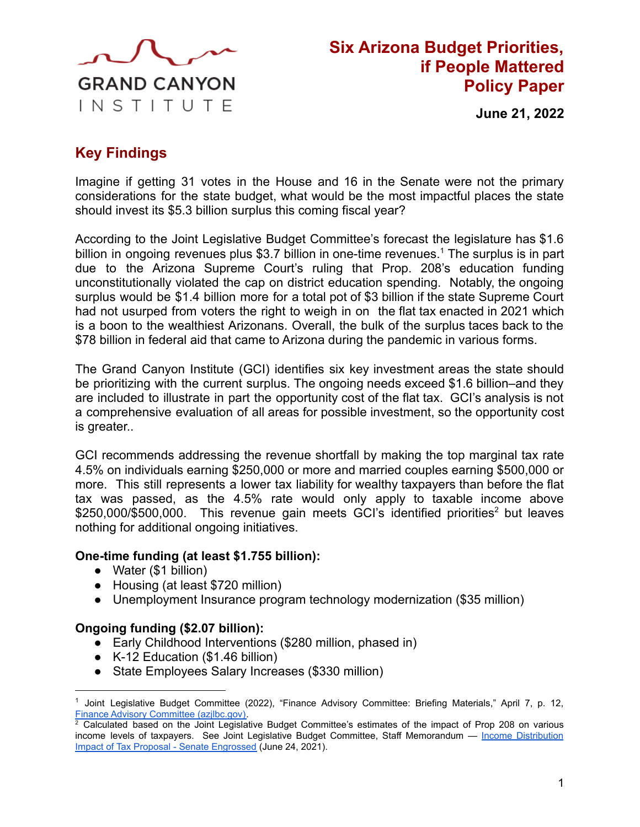

# **Six Arizona Budget Priorities, if People Mattered Policy Paper**

**June 21, 2022**

## **Key Findings**

Imagine if getting 31 votes in the House and 16 in the Senate were not the primary considerations for the state budget, what would be the most impactful places the state should invest its \$5.3 billion surplus this coming fiscal year?

According to the Joint Legislative Budget Committee's forecast the legislature has \$1.6 billion in ongoing revenues plus \$3.7 billion in one-time revenues.<sup>1</sup> The surplus is in part due to the Arizona Supreme Court's ruling that Prop. 208's education funding unconstitutionally violated the cap on district education spending. Notably, the ongoing surplus would be \$1.4 billion more for a total pot of \$3 billion if the state Supreme Court had not usurped from voters the right to weigh in on the flat tax enacted in 2021 which is a boon to the wealthiest Arizonans. Overall, the bulk of the surplus taces back to the \$78 billion in federal aid that came to Arizona during the pandemic in various forms.

The Grand Canyon Institute (GCI) identifies six key investment areas the state should be prioritizing with the current surplus. The ongoing needs exceed \$1.6 billion–and they are included to illustrate in part the opportunity cost of the flat tax. GCI's analysis is not a comprehensive evaluation of all areas for possible investment, so the opportunity cost is greater..

GCI recommends addressing the revenue shortfall by making the top marginal tax rate 4.5% on individuals earning \$250,000 or more and married couples earning \$500,000 or more. This still represents a lower tax liability for wealthy taxpayers than before the flat tax was passed, as the 4.5% rate would only apply to taxable income above \$250,000/\$500,000. This revenue gain meets GCI's identified priorities<sup>2</sup> but leaves nothing for additional ongoing initiatives.

#### **One-time funding (at least \$1.755 billion):**

- Water (\$1 billion)
- Housing (at least \$720 million)
- Unemployment Insurance program technology modernization (\$35 million)

#### **Ongoing funding (\$2.07 billion):**

- Early Childhood Interventions (\$280 million, phased in)
- K-12 Education (\$1.46 billion)
- State Employees Salary Increases (\$330 million)

<sup>&</sup>lt;sup>1</sup> Joint Legislative Budget Committee (2022), "Finance Advisory Committee: Briefing Materials," April 7, p. 12, [Finance Advisory Committee \(azjlbc.gov\).](https://www.azjlbc.gov/meetings/facag040722.pdf)

 $2$  Calculated based on the Joint Legislative Budget Committee's estimates of the impact of Prop 208 on various income levels of taxpayers. See Joint Legislative Budget Committee, Staff Memorandum — Income [Distribution](https://www.azleg.gov/jlbc/taxproposalimpactsenateeng062421.pdf) [Impact of Tax Proposal - Senate Engrossed](https://www.azleg.gov/jlbc/taxproposalimpactsenateeng062421.pdf) (June 24, 2021).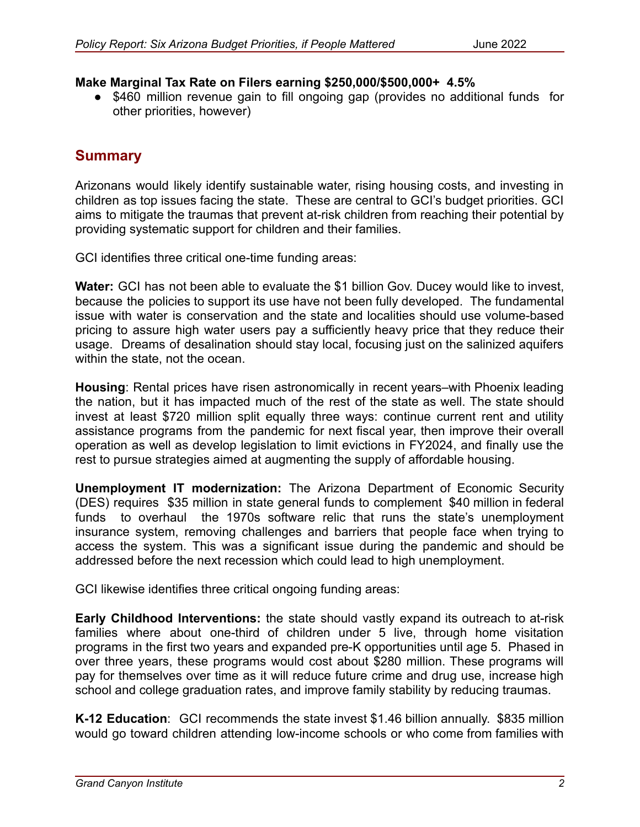#### **Make Marginal Tax Rate on Filers earning \$250,000/\$500,000+ 4.5%**

● \$460 million revenue gain to fill ongoing gap (provides no additional funds for other priorities, however)

## **Summary**

Arizonans would likely identify sustainable water, rising housing costs, and investing in children as top issues facing the state. These are central to GCI's budget priorities. GCI aims to mitigate the traumas that prevent at-risk children from reaching their potential by providing systematic support for children and their families.

GCI identifies three critical one-time funding areas:

**Water:** GCI has not been able to evaluate the \$1 billion Gov. Ducey would like to invest, because the policies to support its use have not been fully developed. The fundamental issue with water is conservation and the state and localities should use volume-based pricing to assure high water users pay a sufficiently heavy price that they reduce their usage. Dreams of desalination should stay local, focusing just on the salinized aquifers within the state, not the ocean.

**Housing**: Rental prices have risen astronomically in recent years–with Phoenix leading the nation, but it has impacted much of the rest of the state as well. The state should invest at least \$720 million split equally three ways: continue current rent and utility assistance programs from the pandemic for next fiscal year, then improve their overall operation as well as develop legislation to limit evictions in FY2024, and finally use the rest to pursue strategies aimed at augmenting the supply of affordable housing.

**Unemployment IT modernization:** The Arizona Department of Economic Security (DES) requires \$35 million in state general funds to complement \$40 million in federal funds to overhaul the 1970s software relic that runs the state's unemployment insurance system, removing challenges and barriers that people face when trying to access the system. This was a significant issue during the pandemic and should be addressed before the next recession which could lead to high unemployment.

GCI likewise identifies three critical ongoing funding areas:

**Early Childhood Interventions:** the state should vastly expand its outreach to at-risk families where about one-third of children under 5 live, through home visitation programs in the first two years and expanded pre-K opportunities until age 5. Phased in over three years, these programs would cost about \$280 million. These programs will pay for themselves over time as it will reduce future crime and drug use, increase high school and college graduation rates, and improve family stability by reducing traumas.

**K-12 Education**: GCI recommends the state invest \$1.46 billion annually. \$835 million would go toward children attending low-income schools or who come from families with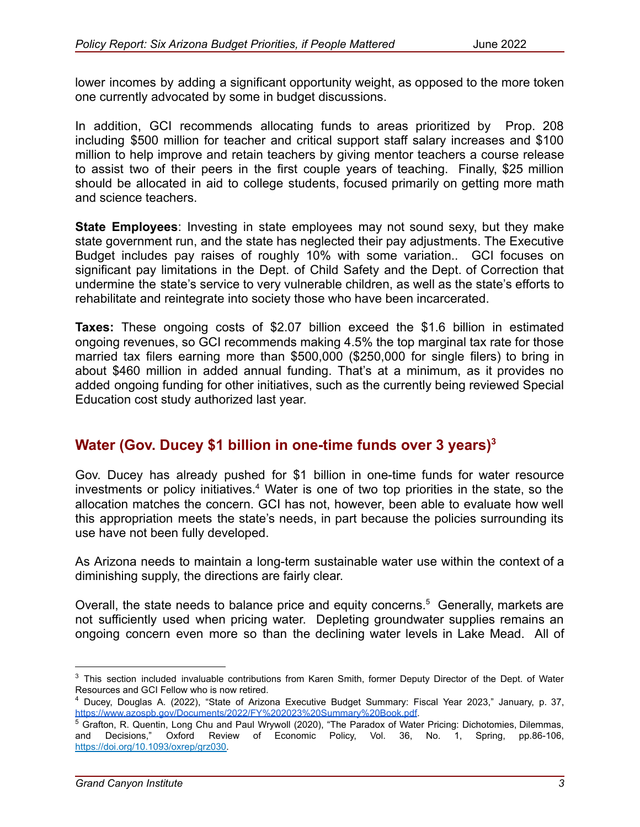lower incomes by adding a significant opportunity weight, as opposed to the more token one currently advocated by some in budget discussions.

In addition, GCI recommends allocating funds to areas prioritized by Prop. 208 including \$500 million for teacher and critical support staff salary increases and \$100 million to help improve and retain teachers by giving mentor teachers a course release to assist two of their peers in the first couple years of teaching. Finally, \$25 million should be allocated in aid to college students, focused primarily on getting more math and science teachers.

**State Employees**: Investing in state employees may not sound sexy, but they make state government run, and the state has neglected their pay adjustments. The Executive Budget includes pay raises of roughly 10% with some variation.. GCI focuses on significant pay limitations in the Dept. of Child Safety and the Dept. of Correction that undermine the state's service to very vulnerable children, as well as the state's efforts to rehabilitate and reintegrate into society those who have been incarcerated.

**Taxes:** These ongoing costs of \$2.07 billion exceed the \$1.6 billion in estimated ongoing revenues, so GCI recommends making 4.5% the top marginal tax rate for those married tax filers earning more than \$500,000 (\$250,000 for single filers) to bring in about \$460 million in added annual funding. That's at a minimum, as it provides no added ongoing funding for other initiatives, such as the currently being reviewed Special Education cost study authorized last year.

## **Water (Gov. Ducey \$1 billion in one-time funds over 3 years) 3**

Gov. Ducey has already pushed for \$1 billion in one-time funds for water resource investments or policy initiatives.<sup>4</sup> Water is one of two top priorities in the state, so the allocation matches the concern. GCI has not, however, been able to evaluate how well this appropriation meets the state's needs, in part because the policies surrounding its use have not been fully developed.

As Arizona needs to maintain a long-term sustainable water use within the context of a diminishing supply, the directions are fairly clear.

Overall, the state needs to balance price and equity concerns.<sup>5</sup> Generally, markets are not sufficiently used when pricing water. Depleting groundwater supplies remains an ongoing concern even more so than the declining water levels in Lake Mead. All of

<sup>&</sup>lt;sup>3</sup> This section included invaluable contributions from Karen Smith, former Deputy Director of the Dept. of Water Resources and GCI Fellow who is now retired.

<sup>4</sup> Ducey, Douglas A. (2022), "State of Arizona Executive Budget Summary: Fiscal Year 2023," January, p. 37, <https://www.azospb.gov/Documents/2022/FY%202023%20Summary%20Book.pdf>.

<sup>5</sup> Grafton, R. Quentin, Long Chu and Paul Wrywoll (2020), "The Paradox of Water Pricing: Dichotomies, Dilemmas, and Decisions," Oxford Review of Economic Policy, Vol. 36, No. 1, Spring, pp.86-106, [https://doi.org/10.1093/oxrep/grz030.](https://doi.org/10.1093/oxrep/grz030)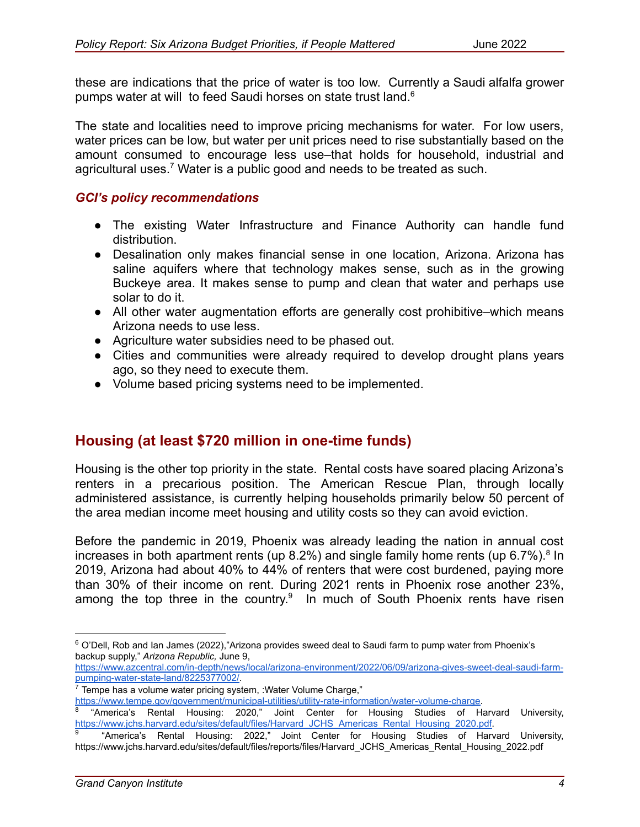these are indications that the price of water is too low. Currently a Saudi alfalfa grower pumps water at will to feed Saudi horses on state trust land.<sup>6</sup>

The state and localities need to improve pricing mechanisms for water. For low users, water prices can be low, but water per unit prices need to rise substantially based on the amount consumed to encourage less use–that holds for household, industrial and agricultural uses.<sup>7</sup> Water is a public good and needs to be treated as such.

#### *GCI's policy recommendations*

- The existing Water Infrastructure and Finance Authority can handle fund distribution.
- Desalination only makes financial sense in one location, Arizona. Arizona has saline aquifers where that technology makes sense, such as in the growing Buckeye area. It makes sense to pump and clean that water and perhaps use solar to do it.
- All other water augmentation efforts are generally cost prohibitive–which means Arizona needs to use less.
- Agriculture water subsidies need to be phased out.
- Cities and communities were already required to develop drought plans years ago, so they need to execute them.
- Volume based pricing systems need to be implemented.

## **Housing (at least \$720 million in one-time funds)**

Housing is the other top priority in the state. Rental costs have soared placing Arizona's renters in a precarious position. The American Rescue Plan, through locally administered assistance, is currently helping households primarily below 50 percent of the area median income meet housing and utility costs so they can avoid eviction.

Before the pandemic in 2019, Phoenix was already leading the nation in annual cost increases in both apartment rents (up 8.2%) and single family home rents (up 6.7%).<sup>8</sup> In 2019, Arizona had about 40% to 44% of renters that were cost burdened, paying more than 30% of their income on rent. During 2021 rents in Phoenix rose another 23%, among the top three in the country.<sup>9</sup> In much of South Phoenix rents have risen

[https://www.azcentral.com/in-depth/news/local/arizona-environment/2022/06/09/arizona-gives-sweet-deal-saudi-farm](https://www.azcentral.com/in-depth/news/local/arizona-environment/2022/06/09/arizona-gives-sweet-deal-saudi-farm-pumping-water-state-land/8225377002/)[pumping-water-state-land/8225377002/](https://www.azcentral.com/in-depth/news/local/arizona-environment/2022/06/09/arizona-gives-sweet-deal-saudi-farm-pumping-water-state-land/8225377002/).

<sup>&</sup>lt;sup>6</sup> O'Dell. Rob and Ian James (2022),"Arizona provides sweed deal to Saudi farm to pump water from Phoenix's backup supply," *Arizona Republic,* June 9,

 $7$  Tempe has a volume water pricing system, :Water Volume Charge,"

[https://www.tempe.gov/government/municipal-utilities/utility-rate-information/water-volume-charge.](https://www.tempe.gov/government/municipal-utilities/utility-rate-information/water-volume-charge)

<sup>8</sup> "America's Rental Housing: 2020," Joint Center for Housing Studies of Harvard University, [https://www.jchs.harvard.edu/sites/default/files/Harvard\\_JCHS\\_Americas\\_Rental\\_Housing\\_2020.pdf.](https://www.jchs.harvard.edu/sites/default/files/Harvard_JCHS_Americas_Rental_Housing_2020.pdf)

<sup>9</sup> "America's Rental Housing: 2022," Joint Center for Housing Studies of Harvard University, https://www.jchs.harvard.edu/sites/default/files/reports/files/Harvard\_JCHS\_Americas\_Rental\_Housing\_2022.pdf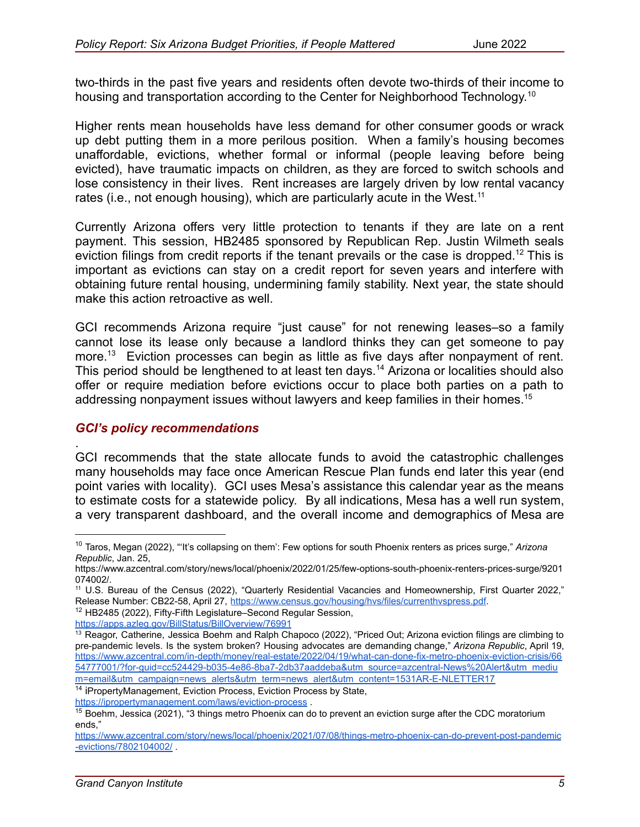two-thirds in the past five years and residents often devote two-thirds of their income to housing and transportation according to the Center for Neighborhood Technology.<sup>10</sup>

Higher rents mean households have less demand for other consumer goods or wrack up debt putting them in a more perilous position. When a family's housing becomes unaffordable, evictions, whether formal or informal (people leaving before being evicted), have traumatic impacts on children, as they are forced to switch schools and lose consistency in their lives. Rent increases are largely driven by low rental vacancy rates (i.e., not enough housing), which are particularly acute in the West.<sup>11</sup>

Currently Arizona offers very little protection to tenants if they are late on a rent payment. This session, HB2485 sponsored by Republican Rep. Justin Wilmeth seals eviction filings from credit reports if the tenant prevails or the case is dropped.<sup>12</sup> This is important as evictions can stay on a credit report for seven years and interfere with obtaining future rental housing, undermining family stability. Next year, the state should make this action retroactive as well.

GCI recommends Arizona require "just cause" for not renewing leases–so a family cannot lose its lease only because a landlord thinks they can get someone to pay more.<sup>13</sup> Eviction processes can begin as little as five days after nonpayment of rent. This period should be lengthened to at least ten days.<sup>14</sup> Arizona or localities should also offer or require mediation before evictions occur to place both parties on a path to addressing nonpayment issues without lawyers and keep families in their homes.<sup>15</sup>

#### *GCI's policy recommendations*

. GCI recommends that the state allocate funds to avoid the catastrophic challenges many households may face once American Rescue Plan funds end later this year (end point varies with locality). GCI uses Mesa's assistance this calendar year as the means to estimate costs for a statewide policy. By all indications, Mesa has a well run system, a very transparent dashboard, and the overall income and demographics of Mesa are

<sup>10</sup> Taros, Megan (2022), "'It's collapsing on them': Few options for south Phoenix renters as prices surge," *Arizona Republic*, Jan. 25,

https://www.azcentral.com/story/news/local/phoenix/2022/01/25/few-options-south-phoenix-renters-prices-surge/9201 074002/.

<sup>11</sup> U.S. Bureau of the Census (2022), "Quarterly Residential Vacancies and Homeownership, First Quarter 2022," Release Number: CB22-58, April 27, https://www.census.gov/housing/hvs/files/currenthyspress.pdf.

<sup>&</sup>lt;sup>12</sup> HB2485 (2022), Fifty-Fifth Legislature–Second Regular Session, <https://apps.azleg.gov/BillStatus/BillOverview/76991>

<sup>&</sup>lt;sup>13</sup> Reagor, Catherine, Jessica Boehm and Ralph Chapoco (2022), "Priced Out; Arizona eviction filings are climbing to pre-pandemic levels. Is the system broken? Housing advocates are demanding change," *Arizona Republic*, April 19, [https://www.azcentral.com/in-depth/money/real-estate/2022/04/19/what-can-done-fix-metro-phoenix-eviction-crisis/66](https://www.azcentral.com/in-depth/money/real-estate/2022/04/19/what-can-done-fix-metro-phoenix-eviction-crisis/6654777001/?for-guid=cc524429-b035-4e86-8ba7-2db37aaddeba&utm_source=azcentral-News%20Alert&utm_medium=email&utm_campaign=news_alerts&utm_term=news_alert&utm_content=1531AR-E-NLETTER17) [54777001/?for-guid=cc524429-b035-4e86-8ba7-2db37aaddeba&utm\\_source=azcentral-News%20Alert&utm\\_mediu](https://www.azcentral.com/in-depth/money/real-estate/2022/04/19/what-can-done-fix-metro-phoenix-eviction-crisis/6654777001/?for-guid=cc524429-b035-4e86-8ba7-2db37aaddeba&utm_source=azcentral-News%20Alert&utm_medium=email&utm_campaign=news_alerts&utm_term=news_alert&utm_content=1531AR-E-NLETTER17) [m=email&utm\\_campaign=news\\_alerts&utm\\_term=news\\_alert&utm\\_content=1531AR-E-NLETTER17](https://www.azcentral.com/in-depth/money/real-estate/2022/04/19/what-can-done-fix-metro-phoenix-eviction-crisis/6654777001/?for-guid=cc524429-b035-4e86-8ba7-2db37aaddeba&utm_source=azcentral-News%20Alert&utm_medium=email&utm_campaign=news_alerts&utm_term=news_alert&utm_content=1531AR-E-NLETTER17)

<sup>&</sup>lt;sup>14</sup> iPropertyManagement, Eviction Process, Eviction Process by State,

<https://ipropertymanagement.com/laws/eviction-process> .

<sup>&</sup>lt;sup>15</sup> Boehm, Jessica (2021), "3 things metro Phoenix can do to prevent an eviction surge after the CDC moratorium ends,"

[https://www.azcentral.com/story/news/local/phoenix/2021/07/08/things-metro-phoenix-can-do-prevent-post-pandemic](https://www.azcentral.com/story/news/local/phoenix/2021/07/08/things-metro-phoenix-can-do-prevent-post-pandemic-evictions/7802104002/) [-evictions/7802104002/](https://www.azcentral.com/story/news/local/phoenix/2021/07/08/things-metro-phoenix-can-do-prevent-post-pandemic-evictions/7802104002/) .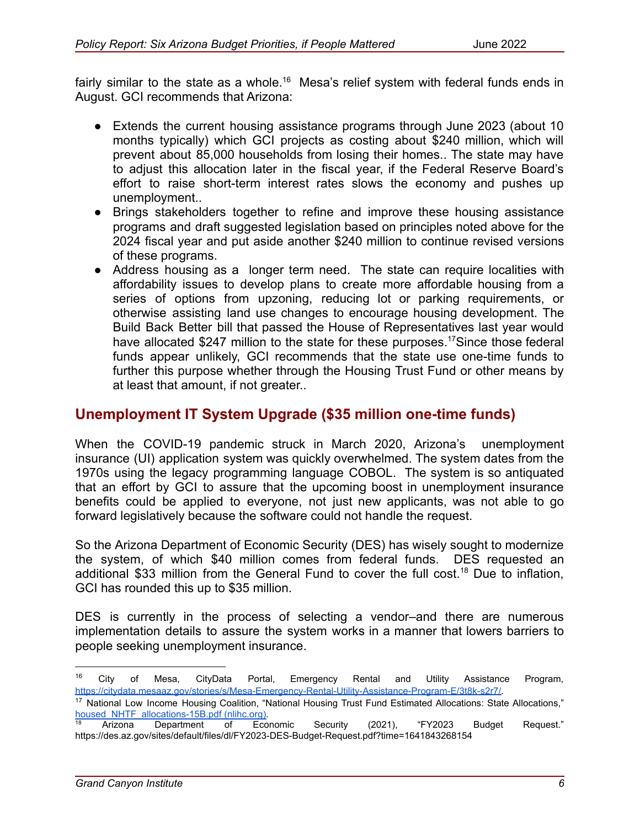fairly similar to the state as a whole.<sup>16</sup> Mesa's relief system with federal funds ends in August. GCI recommends that Arizona:

- Extends the current housing assistance programs through June 2023 (about 10 months typically) which GCI projects as costing about \$240 million, which will prevent about 85,000 households from losing their homes.. The state may have to adjust this allocation later in the fiscal year, if the Federal Reserve Board's effort to raise short-term interest rates slows the economy and pushes up unemployment..
- Brings stakeholders together to refine and improve these housing assistance programs and draft suggested legislation based on principles noted above for the 2024 fiscal year and put aside another \$240 million to continue revised versions of these programs.
- Address housing as a longer term need. The state can require localities with affordability issues to develop plans to create more affordable housing from a series of options from upzoning, reducing lot or parking requirements, or otherwise assisting land use changes to encourage housing development. The Build Back Better bill that passed the House of Representatives last year would have allocated \$247 million to the state for these purposes.<sup>17</sup>Since those federal funds appear unlikely, GCI recommends that the state use one-time funds to further this purpose whether through the Housing Trust Fund or other means by at least that amount, if not greater..

### **Unemployment IT System Upgrade (\$35 million one-time funds)**

When the COVID-19 pandemic struck in March 2020, Arizona's unemployment insurance (UI) application system was quickly overwhelmed. The system dates from the 1970s using the legacy programming language COBOL. The system is so antiquated that an effort by GCI to assure that the upcoming boost in unemployment insurance benefits could be applied to everyone, not just new applicants, was not able to go forward legislatively because the software could not handle the request.

So the Arizona Department of Economic Security (DES) has wisely sought to modernize the system, of which \$40 million comes from federal funds. DES requested an additional \$33 million from the General Fund to cover the full cost.<sup>18</sup> Due to inflation, GCI has rounded this up to \$35 million.

DES is currently in the process of selecting a vendor–and there are numerous implementation details to assure the system works in a manner that lowers barriers to people seeking unemployment insurance.

<sup>16</sup> City of Mesa, CityData Portal, Emergency Rental and Utility Assistance Program, [https://citydata.mesaaz.gov/stories/s/Mesa-Emergency-Rental-Utility-Assistance-Program-E/3t8k-s2r7/.](https://citydata.mesaaz.gov/stories/s/Mesa-Emergency-Rental-Utility-Assistance-Program-E/3t8k-s2r7/)

<sup>&</sup>lt;sup>17</sup> National Low Income Housing Coalition, "National Housing Trust Fund Estimated Allocations: State Allocations," [housed\\_NHTF\\_allocations-15B.pdf \(nlihc.org\).](https://nlihc.org/sites/default/files/housed_NHTF_allocations-15B.pdf)

Arizona Department of Economic Security (2021), "FY2023 Budget Request." https://des.az.gov/sites/default/files/dl/FY2023-DES-Budget-Request.pdf?time=1641843268154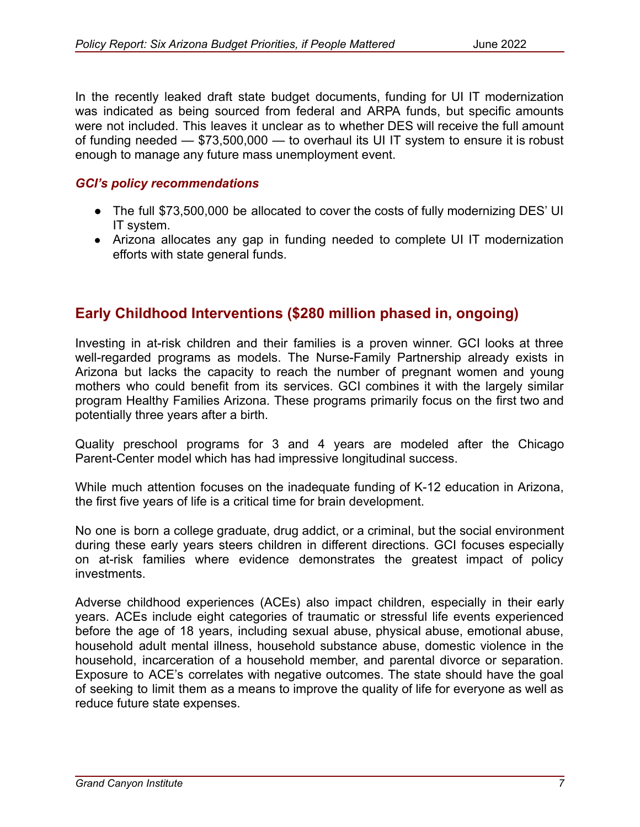In the recently leaked draft state budget documents, funding for UI IT modernization was indicated as being sourced from federal and ARPA funds, but specific amounts were not included. This leaves it unclear as to whether DES will receive the full amount of funding needed — \$73,500,000 — to overhaul its UI IT system to ensure it is robust enough to manage any future mass unemployment event.

#### *GCI's policy recommendations*

- The full \$73,500,000 be allocated to cover the costs of fully modernizing DES' UI IT system.
- Arizona allocates any gap in funding needed to complete UI IT modernization efforts with state general funds.

### **Early Childhood Interventions (\$280 million phased in, ongoing)**

Investing in at-risk children and their families is a proven winner. GCI looks at three well-regarded programs as models. The Nurse-Family Partnership already exists in Arizona but lacks the capacity to reach the number of pregnant women and young mothers who could benefit from its services. GCI combines it with the largely similar program Healthy Families Arizona. These programs primarily focus on the first two and potentially three years after a birth.

Quality preschool programs for 3 and 4 years are modeled after the Chicago Parent-Center model which has had impressive longitudinal success.

While much attention focuses on the inadequate funding of K-12 education in Arizona, the first five years of life is a critical time for brain development.

No one is born a college graduate, drug addict, or a criminal, but the social environment during these early years steers children in different directions. GCI focuses especially on at-risk families where evidence demonstrates the greatest impact of policy investments.

Adverse childhood experiences (ACEs) also impact children, especially in their early years. ACEs include eight categories of traumatic or stressful life events experienced before the age of 18 years, including sexual abuse, physical abuse, emotional abuse, household adult mental illness, household substance abuse, domestic violence in the household, incarceration of a household member, and parental divorce or separation. Exposure to ACE's correlates with negative outcomes. The state should have the goal of seeking to limit them as a means to improve the quality of life for everyone as well as reduce future state expenses.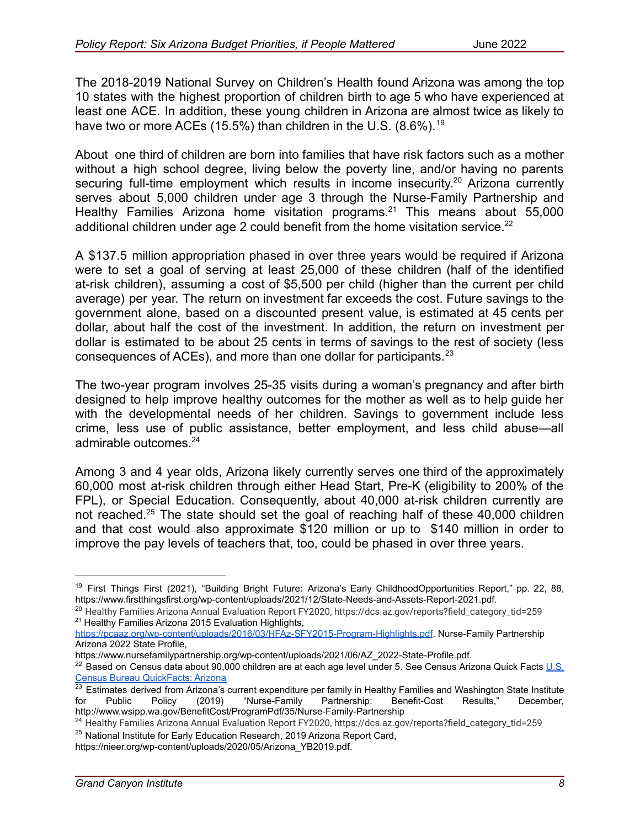The 2018-2019 National Survey on Children's Health found Arizona was among the top 10 states with the highest proportion of children birth to age 5 who have experienced at least one ACE. In addition, these young children in Arizona are almost twice as likely to have two or more ACEs (15.5%) than children in the U.S. (8.6%).<sup>19</sup>

About one third of children are born into families that have risk factors such as a mother without a high school degree, living below the poverty line, and/or having no parents securing full-time employment which results in income insecurity.<sup>20</sup> Arizona currently serves about 5,000 children under age 3 through the Nurse-Family Partnership and Healthy Families Arizona home visitation programs.<sup>21</sup> This means about  $55,000$ additional children under age 2 could benefit from the home visitation service.<sup>22</sup>

A \$137.5 million appropriation phased in over three years would be required if Arizona were to set a goal of serving at least 25,000 of these children (half of the identified at-risk children), assuming a cost of \$5,500 per child (higher than the current per child average) per year. The return on investment far exceeds the cost. Future savings to the government alone, based on a discounted present value, is estimated at 45 cents per dollar, about half the cost of the investment. In addition, the return on investment per dollar is estimated to be about 25 cents in terms of savings to the rest of society (less consequences of ACEs), and more than one dollar for participants.<sup>23</sup>

The two-year program involves 25-35 visits during a woman's pregnancy and after birth designed to help improve healthy outcomes for the mother as well as to help guide her with the developmental needs of her children. Savings to government include less crime, less use of public assistance, better employment, and less child abuse—all admirable outcomes.<sup>24</sup>

Among 3 and 4 year olds, Arizona likely currently serves one third of the approximately 60,000 most at-risk children through either Head Start, Pre-K (eligibility to 200% of the FPL), or Special Education. Consequently, about 40,000 at-risk children currently are not reached.<sup>25</sup> The state should set the goal of reaching half of these 40,000 children and that cost would also approximate \$120 million or up to \$140 million in order to improve the pay levels of teachers that, too, could be phased in over three years.

<sup>&</sup>lt;sup>19</sup> First Things First (2021), "Building Bright Future: Arizona's Early ChildhoodOpportunities Report," pp. 22, 88, https://www.firstthingsfirst.org/wp-content/uploads/2021/12/State-Needs-and-Assets-Report-2021.pdf.

<sup>&</sup>lt;sup>21</sup> Healthy Families Arizona 2015 Evaluation Highlights, <sup>20</sup> Healthy Families Arizona Annual Evaluation Report FY2020, https://dcs.az.gov/reports?field\_category\_tid=259

<https://pcaaz.org/wp-content/uploads/2016/03/HFAz-SFY2015-Program-Highlights.pdf>. Nurse-Family Partnership Arizona 2022 State Profile,

https://www.nursefamilypartnership.org/wp-content/uploads/2021/06/AZ\_2022-State-Profile.pdf.

<sup>&</sup>lt;sup>22</sup> Based on Census data about 90,000 children are at each age level under 5. See Census Arizona Quick Facts [U.S.](https://www.census.gov/quickfacts/AZ) [Census Bureau QuickFacts: Arizona](https://www.census.gov/quickfacts/AZ)

 $^{23}$  Estimates derived from Arizona's current expenditure per family in Healthy Families and Washington State Institute for Public Policy (2019) "Nurse-Family Partnership: Benefit-Cost Results," December, http://www.wsipp.wa.gov/BenefitCost/ProgramPdf/35/Nurse-Family-Partnership

<sup>&</sup>lt;sup>25</sup> National Institute for Early Education Research, 2019 Arizona Report Card, <sup>24</sup> Healthy Families Arizona Annual Evaluation Report FY2020, https://dcs.az.gov/reports?field\_category\_tid=259

https://nieer.org/wp-content/uploads/2020/05/Arizona\_YB2019.pdf.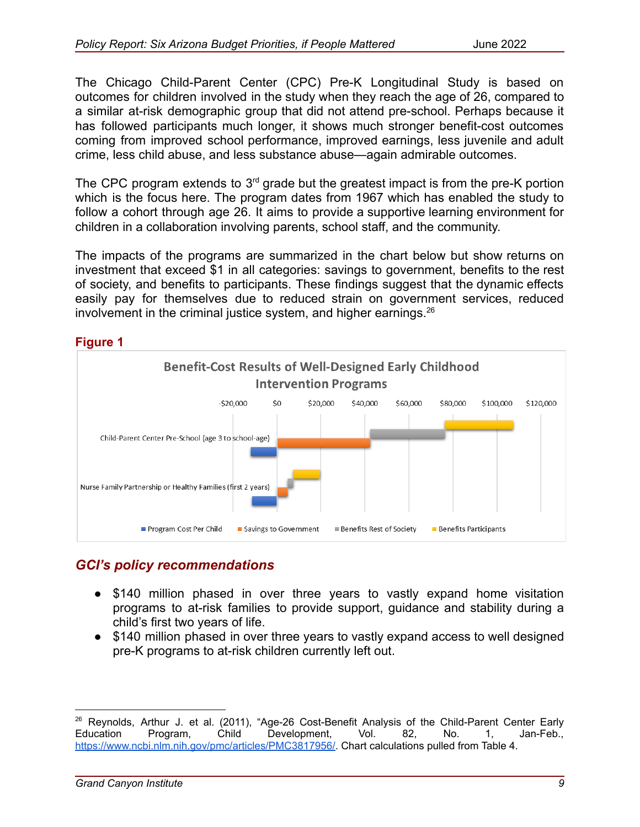The Chicago Child-Parent Center (CPC) Pre-K Longitudinal Study is based on outcomes for children involved in the study when they reach the age of 26, compared to a similar at-risk demographic group that did not attend pre-school. Perhaps because it has followed participants much longer, it shows much stronger benefit-cost outcomes coming from improved school performance, improved earnings, less juvenile and adult crime, less child abuse, and less substance abuse—again admirable outcomes.

The CPC program extends to  $3<sup>rd</sup>$  grade but the greatest impact is from the pre-K portion which is the focus here. The program dates from 1967 which has enabled the study to follow a cohort through age 26. It aims to provide a supportive learning environment for children in a collaboration involving parents, school staff, and the community.

The impacts of the programs are summarized in the chart below but show returns on investment that exceed \$1 in all categories: savings to government, benefits to the rest of society, and benefits to participants. These findings suggest that the dynamic effects easily pay for themselves due to reduced strain on government services, reduced involvement in the criminal justice system, and higher earnings. $26$ 

#### **Figure 1**



### *GCI's policy recommendations*

- \$140 million phased in over three years to vastly expand home visitation programs to at-risk families to provide support, guidance and stability during a child's first two years of life.
- \$140 million phased in over three years to vastly expand access to well designed pre-K programs to at-risk children currently left out.

<sup>&</sup>lt;sup>26</sup> Reynolds, Arthur J. et al. (2011), "Age-26 Cost-Benefit Analysis of the Child-Parent Center Early Education Program, Child Development, Vol. 82, No. 1, Jan-Feb., [https://www.ncbi.nlm.nih.gov/pmc/articles/PMC3817956/.](https://www.ncbi.nlm.nih.gov/pmc/articles/PMC3817956/) Chart calculations pulled from Table 4.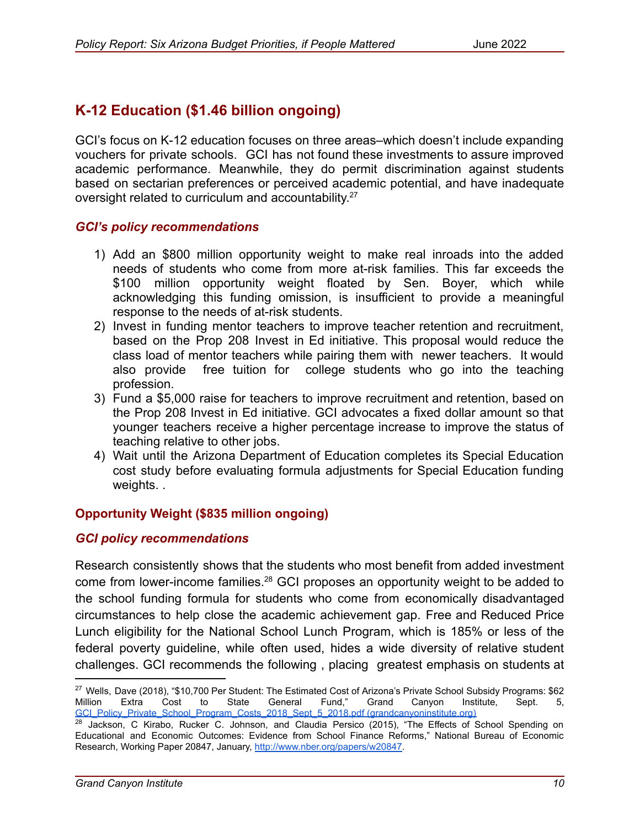## **K-12 Education (\$1.46 billion ongoing)**

GCI's focus on K-12 education focuses on three areas–which doesn't include expanding vouchers for private schools. GCI has not found these investments to assure improved academic performance. Meanwhile, they do permit discrimination against students based on sectarian preferences or perceived academic potential, and have inadequate oversight related to curriculum and accountability.<sup>27</sup>

#### *GCI's policy recommendations*

- 1) Add an \$800 million opportunity weight to make real inroads into the added needs of students who come from more at-risk families. This far exceeds the \$100 million opportunity weight floated by Sen. Boyer, which while acknowledging this funding omission, is insufficient to provide a meaningful response to the needs of at-risk students.
- 2) Invest in funding mentor teachers to improve teacher retention and recruitment, based on the Prop 208 Invest in Ed initiative. This proposal would reduce the class load of mentor teachers while pairing them with newer teachers. It would also provide free tuition for college students who go into the teaching profession.
- 3) Fund a \$5,000 raise for teachers to improve recruitment and retention, based on the Prop 208 Invest in Ed initiative. GCI advocates a fixed dollar amount so that younger teachers receive a higher percentage increase to improve the status of teaching relative to other jobs.
- 4) Wait until the Arizona Department of Education completes its Special Education cost study before evaluating formula adjustments for Special Education funding weights. .

#### **Opportunity Weight (\$835 million ongoing)**

#### *GCI policy recommendations*

Research consistently shows that the students who most benefit from added investment come from lower-income families.<sup>28</sup> GCI proposes an opportunity weight to be added to the school funding formula for students who come from economically disadvantaged circumstances to help close the academic achievement gap. Free and Reduced Price Lunch eligibility for the National School Lunch Program, which is 185% or less of the federal poverty guideline, while often used, hides a wide diversity of relative student challenges. GCI recommends the following , placing greatest emphasis on students at

<sup>&</sup>lt;sup>27</sup> Wells, Dave (2018), "\$10,700 Per Student: The Estimated Cost of Arizona's Private School Subsidy Programs: \$62 Million Extra Cost to State General Fund," Grand Canyon Institute, Sept. 5, [GCI\\_Policy\\_Private\\_School\\_Program\\_Costs\\_2018\\_Sept\\_5\\_2018.pdf \(grandcanyoninstitute.org\)](https://grandcanyoninstitute.org/wp-content/uploads/2018/09/GCI_Policy_Private_School_Program_Costs_2018_Sept_5_2018.pdf)

<sup>&</sup>lt;sup>28</sup> Jackson, C Kirabo, Rucker C. Johnson, and Claudia Persico (2015), "The Effects of School Spending on Educational and Economic Outcomes: Evidence from School Finance Reforms," National Bureau of Economic Research, Working Paper 20847, January, [http://www.nber.org/papers/w20847.](http://www.nber.org/papers/w20847)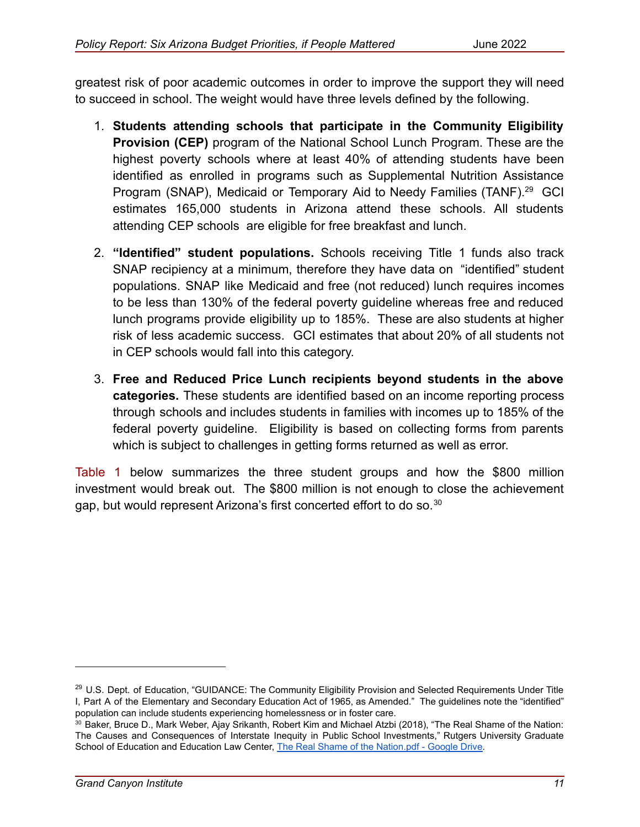greatest risk of poor academic outcomes in order to improve the support they will need to succeed in school. The weight would have three levels defined by the following.

- 1. **Students attending schools that participate in the Community Eligibility Provision (CEP)** program of the National School Lunch Program. These are the highest poverty schools where at least 40% of attending students have been identified as enrolled in programs such as Supplemental Nutrition Assistance Program (SNAP), Medicaid or Temporary Aid to Needy Families (TANF).<sup>29</sup> GCI estimates 165,000 students in Arizona attend these schools. All students attending CEP schools are eligible for free breakfast and lunch.
- 2. **"Identified" student populations.** Schools receiving Title 1 funds also track SNAP recipiency at a minimum, therefore they have data on "identified" student populations. SNAP like Medicaid and free (not reduced) lunch requires incomes to be less than 130% of the federal poverty guideline whereas free and reduced lunch programs provide eligibility up to 185%. These are also students at higher risk of less academic success. GCI estimates that about 20% of all students not in CEP schools would fall into this category.
- 3. **Free and Reduced Price Lunch recipients beyond students in the above categories.** These students are identified based on an income reporting process through schools and includes students in families with incomes up to 185% of the federal poverty guideline. Eligibility is based on collecting forms from parents which is subject to challenges in getting forms returned as well as error.

Table 1 below summarizes the three student groups and how the \$800 million investment would break out. The \$800 million is not enough to close the achievement gap, but would represent Arizona's first concerted effort to do so.<sup>30</sup>

<sup>&</sup>lt;sup>29</sup> U.S. Dept. of Education, "GUIDANCE: The Community Eligibility Provision and Selected Requirements Under Title I, Part A of the Elementary and Secondary Education Act of 1965, as Amended." The guidelines note the "identified" population can include students experiencing homelessness or in foster care.

<sup>30</sup> Baker, Bruce D., Mark Weber, Ajay Srikanth, Robert Kim and Michael Atzbi (2018), "The Real Shame of the Nation: The Causes and Consequences of Interstate Inequity in Public School Investments," Rutgers University Graduate School of Education and Education Law Center, The [Real Shame of the Nation.pdf - Google Drive.](https://drive.google.com/file/d/1cm6Jkm6ktUT3SQplzDFjJIy3G3iLWOtJ/view)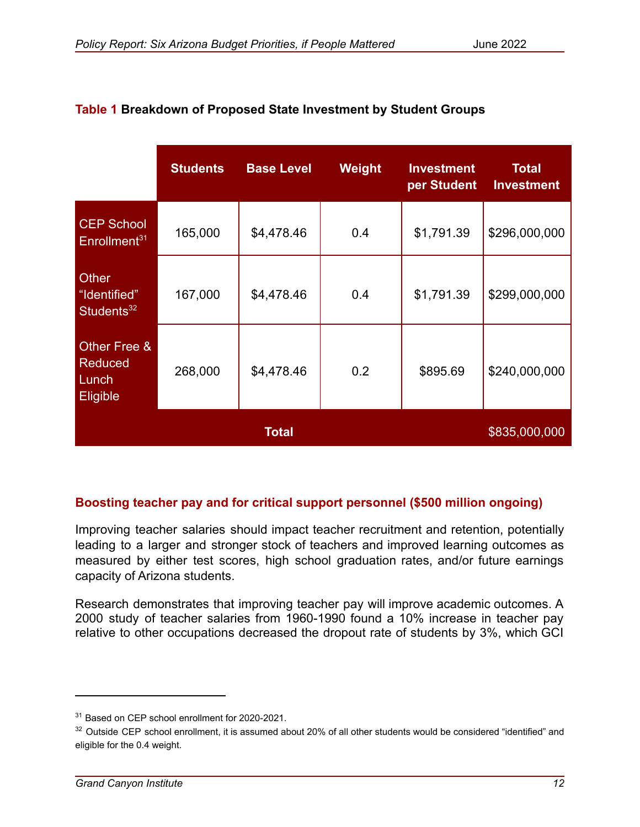|                                                 | <b>Students</b> | <b>Base Level</b> | Weight | <b>Investment</b><br>per Student | <b>Total</b><br><b>Investment</b> |
|-------------------------------------------------|-----------------|-------------------|--------|----------------------------------|-----------------------------------|
| <b>CEP School</b><br>Enrollment <sup>31</sup>   | 165,000         | \$4,478.46        | 0.4    | \$1,791.39                       | \$296,000,000                     |
| Other<br>"Identified"<br>Students <sup>32</sup> | 167,000         | \$4,478.46        | 0.4    | \$1,791.39                       | \$299,000,000                     |
| Other Free &<br>Reduced<br>Lunch<br>Eligible    | 268,000         | \$4,478.46        | 0.2    | \$895.69                         | \$240,000,000                     |
|                                                 |                 | <b>Total</b>      |        |                                  | \$835,000,000                     |

#### **Table 1 Breakdown of Proposed State Investment by Student Groups**

#### **Boosting teacher pay and for critical support personnel (\$500 million ongoing)**

Improving teacher salaries should impact teacher recruitment and retention, potentially leading to a larger and stronger stock of teachers and improved learning outcomes as measured by either test scores, high school graduation rates, and/or future earnings capacity of Arizona students.

Research demonstrates that improving teacher pay will improve academic outcomes. A 2000 study of teacher salaries from 1960-1990 found a 10% increase in teacher pay relative to other occupations decreased the dropout rate of students by 3%, which GCI

<sup>&</sup>lt;sup>31</sup> Based on CEP school enrollment for 2020-2021.

<sup>&</sup>lt;sup>32</sup> Outside CEP school enrollment, it is assumed about 20% of all other students would be considered "identified" and eligible for the 0.4 weight.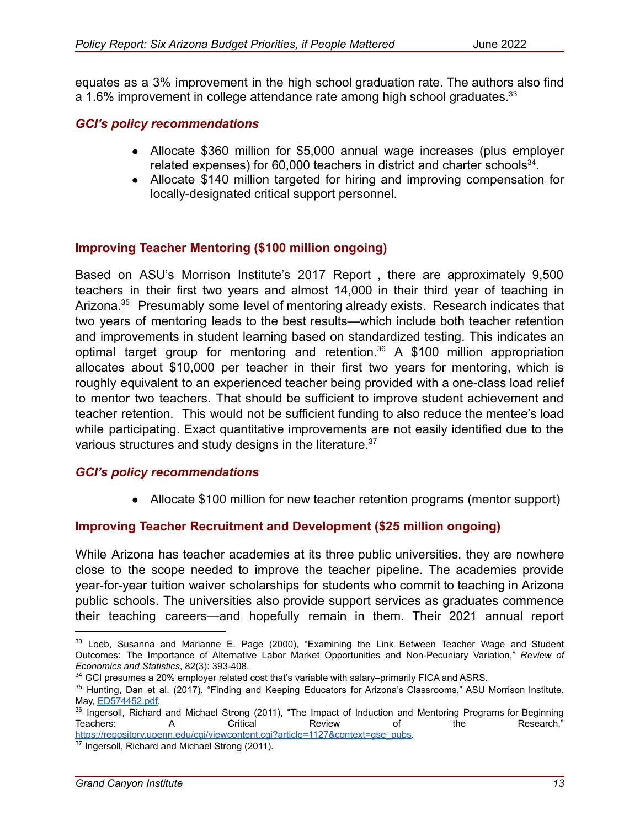equates as a 3% improvement in the high school graduation rate. The authors also find a 1.6% improvement in college attendance rate among high school graduates.<sup>33</sup>

#### *GCI's policy recommendations*

- Allocate \$360 million for \$5,000 annual wage increases (plus employer related expenses) for 60,000 teachers in district and charter schools $34$ .
- Allocate \$140 million targeted for hiring and improving compensation for locally-designated critical support personnel.

#### **Improving Teacher Mentoring (\$100 million ongoing)**

Based on ASU's Morrison Institute's 2017 Report , there are approximately 9,500 teachers in their first two years and almost 14,000 in their third year of teaching in Arizona.<sup>35</sup> Presumably some level of mentoring already exists. Research indicates that two years of mentoring leads to the best results—which include both teacher retention and improvements in student learning based on standardized testing. This indicates an optimal target group for mentoring and retention.<sup>36</sup> A \$100 million appropriation allocates about \$10,000 per teacher in their first two years for mentoring, which is roughly equivalent to an experienced teacher being provided with a one-class load relief to mentor two teachers. That should be sufficient to improve student achievement and teacher retention. This would not be sufficient funding to also reduce the mentee's load while participating. Exact quantitative improvements are not easily identified due to the various structures and study designs in the literature.<sup>37</sup>

#### *GCI's policy recommendations*

• Allocate \$100 million for new teacher retention programs (mentor support)

#### **Improving Teacher Recruitment and Development (\$25 million ongoing)**

While Arizona has teacher academies at its three public universities, they are nowhere close to the scope needed to improve the teacher pipeline. The academies provide year-for-year tuition waiver scholarships for students who commit to teaching in Arizona public schools. The universities also provide support services as graduates commence their teaching careers—and hopefully remain in them. Their 2021 annual report

 $33$  Loeb, Susanna and Marianne E. Page (2000), "Examining the Link Between Teacher Wage and Student Outcomes: The Importance of Alternative Labor Market Opportunities and Non-Pecuniary Variation," *Review of Economics and Statistics*, 82(3): 393-408.

<sup>&</sup>lt;sup>34</sup> GCI presumes a 20% employer related cost that's variable with salary–primarily FICA and ASRS.

<sup>35</sup> Hunting, Dan et al. (2017), "Finding and Keeping Educators for Arizona's Classrooms," ASU Morrison Institute, May, [ED574452.pdf.](https://files.eric.ed.gov/fulltext/ED574452.pdf)

<sup>&</sup>lt;sup>36</sup> Ingersoll, Richard and Michael Strong (2011), "The Impact of Induction and Mentoring Programs for Beginning<br>Teachers: A Critical Review of the Research." Teachers: A Critical Review of the Research," [https://repository.upenn.edu/cgi/viewcontent.cgi?article=1127&context=gse\\_pubs.](https://repository.upenn.edu/cgi/viewcontent.cgi?article=1127&context=gse_pubs)

<sup>&</sup>lt;sup>37</sup> Ingersoll, Richard and Michael Strong (2011).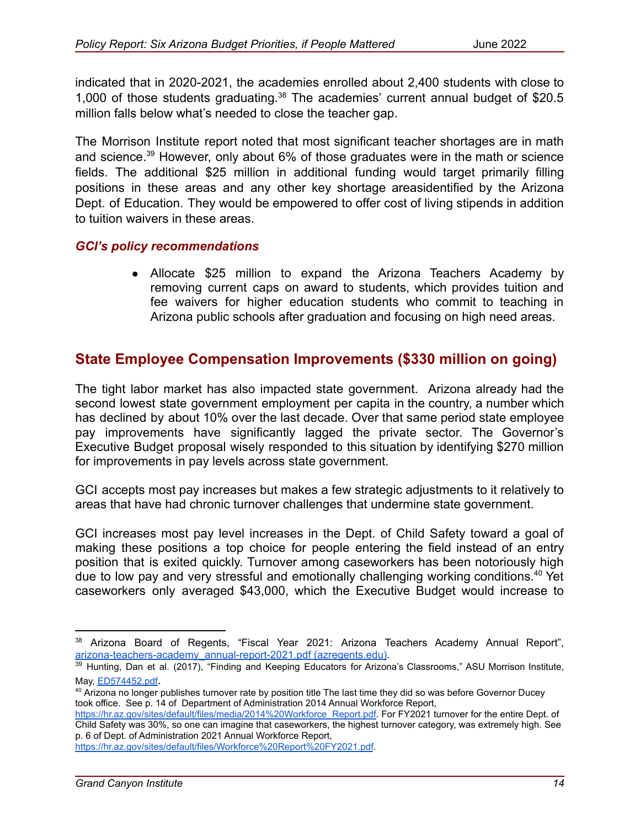indicated that in 2020-2021, the academies enrolled about 2,400 students with close to 1,000 of those students graduating.<sup>38</sup> The academies' current annual budget of \$20.5 million falls below what's needed to close the teacher gap.

The Morrison Institute report noted that most significant teacher shortages are in math and science.<sup>39</sup> However, only about 6% of those graduates were in the math or science fields. The additional \$25 million in additional funding would target primarily filling positions in these areas and any other key shortage areasidentified by the Arizona Dept. of Education. They would be empowered to offer cost of living stipends in addition to tuition waivers in these areas.

#### *GCI's policy recommendations*

● Allocate \$25 million to expand the Arizona Teachers Academy by removing current caps on award to students, which provides tuition and fee waivers for higher education students who commit to teaching in Arizona public schools after graduation and focusing on high need areas.

### **State Employee Compensation Improvements (\$330 million on going)**

The tight labor market has also impacted state government. Arizona already had the second lowest state government employment per capita in the country, a number which has declined by about 10% over the last decade. Over that same period state employee pay improvements have significantly lagged the private sector. The Governor's Executive Budget proposal wisely responded to this situation by identifying \$270 million for improvements in pay levels across state government.

GCI accepts most pay increases but makes a few strategic adjustments to it relatively to areas that have had chronic turnover challenges that undermine state government.

GCI increases most pay level increases in the Dept. of Child Safety toward a goal of making these positions a top choice for people entering the field instead of an entry position that is exited quickly. Turnover among caseworkers has been notoriously high due to low pay and very stressful and emotionally challenging working conditions.<sup>40</sup> Yet caseworkers only averaged \$43,000, which the Executive Budget would increase to

<https://hr.az.gov/sites/default/files/Workforce%20Report%20FY2021.pdf>.

<sup>&</sup>lt;sup>38</sup> Arizona Board of Regents, "Fiscal Year 2021: Arizona Teachers Academy Annual Report", [arizona-teachers-academy\\_annual-report-2021.pdf](https://www.azregents.edu/sites/default/files/reports/arizona-teachers-academy_annual-report-2021.pdf) (azregents.edu).

<sup>&</sup>lt;sup>39</sup> Hunting, Dan et al. (2017), "Finding and Keeping Educators for Arizona's Classrooms," ASU Morrison Institute, May, [ED574452.pdf](https://files.eric.ed.gov/fulltext/ED574452.pdf).

<sup>&</sup>lt;sup>40</sup> Arizona no longer publishes turnover rate by position title The last time they did so was before Governor Ducev took office. See p. 14 of Department of Administration 2014 Annual Workforce Report,

[https://hr.az.gov/sites/default/files/media/2014%20Workforce\\_Report.pdf.](https://hr.az.gov/sites/default/files/media/2014%20Workforce_Report.pdf) For FY2021 turnover for the entire Dept. of Child Safety was 30%, so one can imagine that caseworkers, the highest turnover category, was extremely high. See p. 6 of Dept. of Administration 2021 Annual Workforce Report,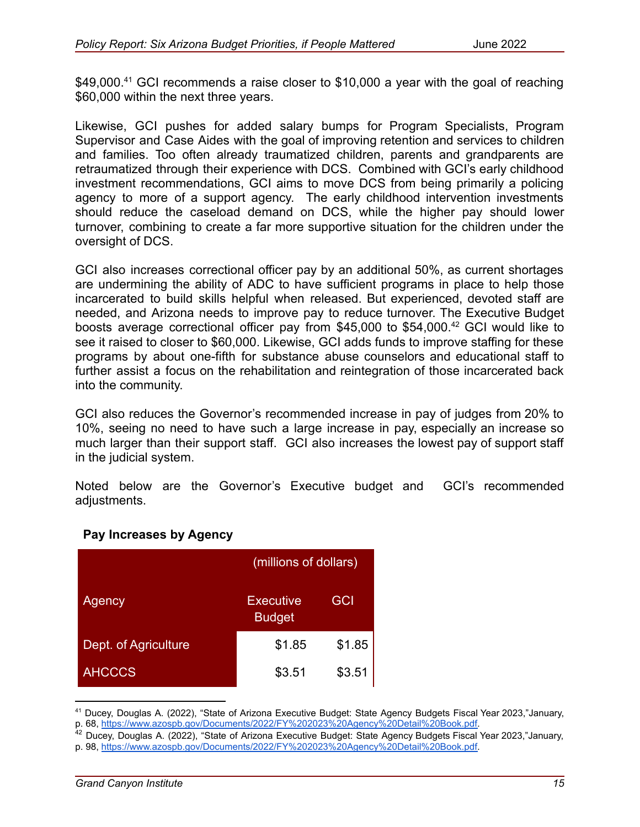\$49,000.<sup>41</sup> GCI recommends a raise closer to \$10,000 a year with the goal of reaching \$60,000 within the next three years.

Likewise, GCI pushes for added salary bumps for Program Specialists, Program Supervisor and Case Aides with the goal of improving retention and services to children and families. Too often already traumatized children, parents and grandparents are retraumatized through their experience with DCS. Combined with GCI's early childhood investment recommendations, GCI aims to move DCS from being primarily a policing agency to more of a support agency. The early childhood intervention investments should reduce the caseload demand on DCS, while the higher pay should lower turnover, combining to create a far more supportive situation for the children under the oversight of DCS.

GCI also increases correctional officer pay by an additional 50%, as current shortages are undermining the ability of ADC to have sufficient programs in place to help those incarcerated to build skills helpful when released. But experienced, devoted staff are needed, and Arizona needs to improve pay to reduce turnover. The Executive Budget boosts average correctional officer pay from \$45,000 to \$54,000.<sup>42</sup> GCI would like to see it raised to closer to \$60,000. Likewise, GCI adds funds to improve staffing for these programs by about one-fifth for substance abuse counselors and educational staff to further assist a focus on the rehabilitation and reintegration of those incarcerated back into the community.

GCI also reduces the Governor's recommended increase in pay of judges from 20% to 10%, seeing no need to have such a large increase in pay, especially an increase so much larger than their support staff. GCI also increases the lowest pay of support staff in the judicial system.

Noted below are the Governor's Executive budget and GCI's recommended adjustments.

|                      | (millions of dollars)             |            |
|----------------------|-----------------------------------|------------|
| Agency               | <b>Executive</b><br><b>Budget</b> | <b>GCI</b> |
| Dept. of Agriculture | \$1.85                            | \$1.85     |
| <b>AHCCCS</b>        | \$3.51                            | \$3.51     |

### **Pay Increases by Agency**

<sup>41</sup> Ducey, Douglas A. (2022), "State of Arizona Executive Budget: State Agency Budgets Fiscal Year 2023,"January, p. 68, [https://www.azospb.gov/Documents/2022/FY%202023%20Agency%20Detail%20Book.pdf.](https://www.azospb.gov/Documents/2022/FY%202023%20Agency%20Detail%20Book.pdf)

<sup>&</sup>lt;sup>42</sup> Ducey, Douglas A. (2022), "State of Arizona Executive Budget: State Agency Budgets Fiscal Year 2023,"January, p. 98, [https://www.azospb.gov/Documents/2022/FY%202023%20Agency%20Detail%20Book.pdf.](https://www.azospb.gov/Documents/2022/FY%202023%20Agency%20Detail%20Book.pdf)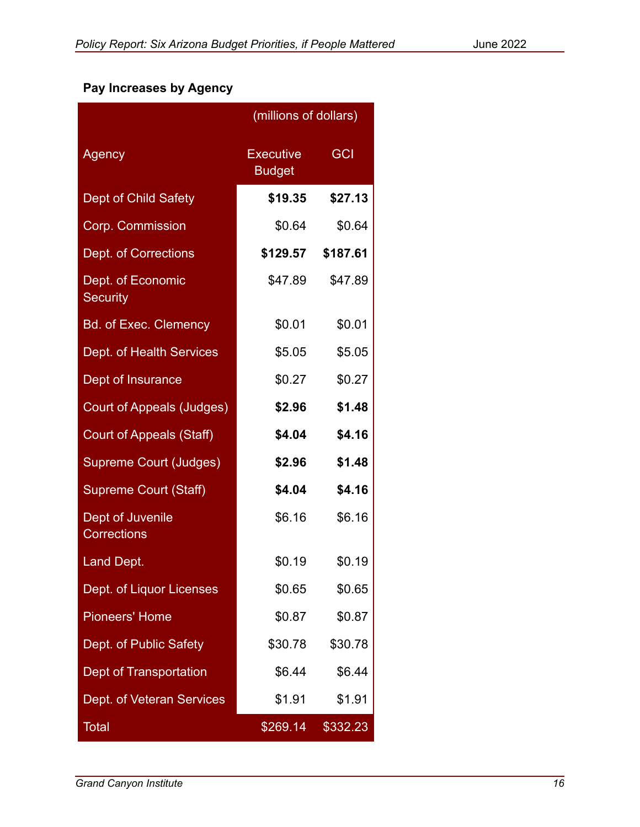## **Pay Increases by Agency**

|                                        | (millions of dollars)             |            |
|----------------------------------------|-----------------------------------|------------|
| Agency                                 | <b>Executive</b><br><b>Budget</b> | <b>GCI</b> |
| <b>Dept of Child Safety</b>            | \$19.35                           | \$27.13    |
| Corp. Commission                       | \$0.64                            | \$0.64     |
| <b>Dept. of Corrections</b>            | \$129.57                          | \$187.61   |
| Dept. of Economic<br><b>Security</b>   | \$47.89                           | \$47.89    |
| <b>Bd. of Exec. Clemency</b>           | \$0.01                            | \$0.01     |
| Dept. of Health Services               | \$5.05                            | \$5.05     |
| Dept of Insurance                      | \$0.27                            | \$0.27     |
| <b>Court of Appeals (Judges)</b>       | \$2.96                            | \$1.48     |
| Court of Appeals (Staff)               | \$4.04                            | \$4.16     |
| <b>Supreme Court (Judges)</b>          | \$2.96                            | \$1.48     |
| <b>Supreme Court (Staff)</b>           | \$4.04                            | \$4.16     |
| Dept of Juvenile<br><b>Corrections</b> | \$6.16                            | \$6.16     |
| Land Dept.                             | \$0.19                            | \$0.19     |
| Dept. of Liquor Licenses               | \$0.65                            | \$0.65     |
| <b>Pioneers' Home</b>                  | \$0.87                            | \$0.87     |
| Dept. of Public Safety                 | \$30.78                           | \$30.78    |
| Dept of Transportation                 | \$6.44                            | \$6.44     |
| Dept. of Veteran Services              | \$1.91                            | \$1.91     |
| Total                                  | \$269.14                          | \$332.23   |